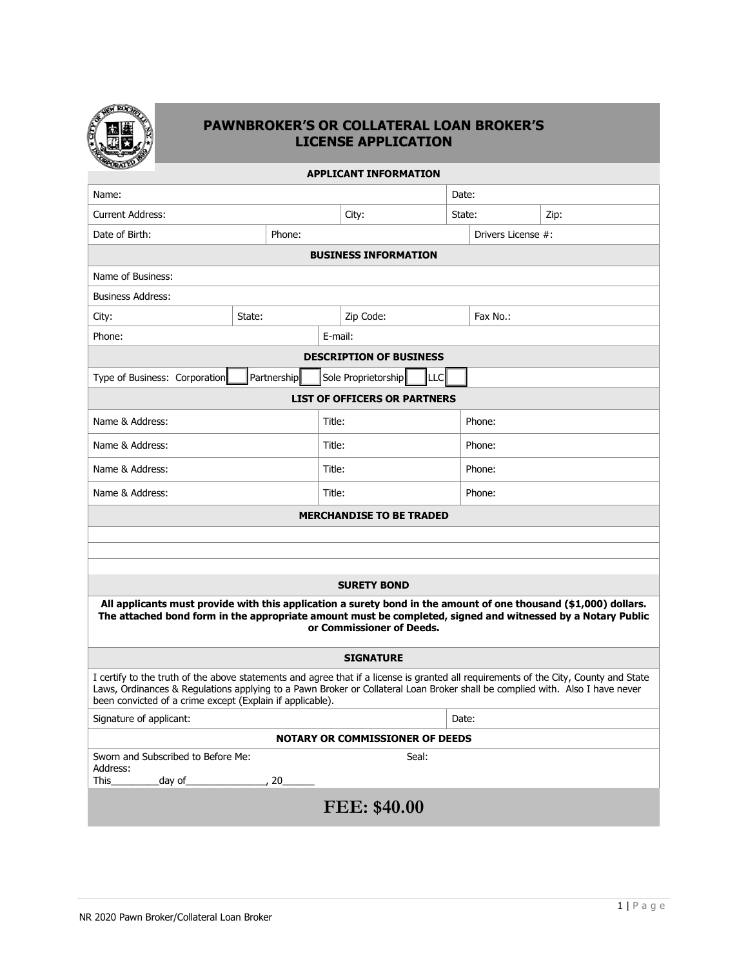

#### **PAWNBROKER'S OR COLLATERAL LOAN BROKER'S LICENSE APPLICATION**

| $\sim$<br><b>APPLICANT INFORMATION</b>                                                                                                                                                                                                                                                                                            |             |             |        |                                 |      |                    |        |      |  |
|-----------------------------------------------------------------------------------------------------------------------------------------------------------------------------------------------------------------------------------------------------------------------------------------------------------------------------------|-------------|-------------|--------|---------------------------------|------|--------------------|--------|------|--|
| Name:                                                                                                                                                                                                                                                                                                                             |             |             |        |                                 |      | Date:              |        |      |  |
| <b>Current Address:</b>                                                                                                                                                                                                                                                                                                           |             |             | City:  |                                 |      | State:             |        | Zip: |  |
| Date of Birth:<br>Phone:                                                                                                                                                                                                                                                                                                          |             |             |        |                                 |      | Drivers License #: |        |      |  |
| <b>BUSINESS INFORMATION</b>                                                                                                                                                                                                                                                                                                       |             |             |        |                                 |      |                    |        |      |  |
| Name of Business:                                                                                                                                                                                                                                                                                                                 |             |             |        |                                 |      |                    |        |      |  |
| <b>Business Address:</b>                                                                                                                                                                                                                                                                                                          |             |             |        |                                 |      |                    |        |      |  |
| City:                                                                                                                                                                                                                                                                                                                             | State:      |             |        | Zip Code:                       |      | Fax No.:           |        |      |  |
| Phone:                                                                                                                                                                                                                                                                                                                            |             |             |        | E-mail:                         |      |                    |        |      |  |
|                                                                                                                                                                                                                                                                                                                                   |             |             |        | <b>DESCRIPTION OF BUSINESS</b>  |      |                    |        |      |  |
| Type of Business: Corporation                                                                                                                                                                                                                                                                                                     |             | Partnership |        | Sole Proprietorship             | ILLC |                    |        |      |  |
| <b>LIST OF OFFICERS OR PARTNERS</b>                                                                                                                                                                                                                                                                                               |             |             |        |                                 |      |                    |        |      |  |
| Name & Address:                                                                                                                                                                                                                                                                                                                   |             |             | Title: |                                 |      |                    | Phone: |      |  |
| Name & Address:                                                                                                                                                                                                                                                                                                                   |             |             | Title: |                                 |      | Phone:             |        |      |  |
| Name & Address:                                                                                                                                                                                                                                                                                                                   |             |             | Title: |                                 |      | Phone:             |        |      |  |
| Name & Address:                                                                                                                                                                                                                                                                                                                   |             |             | Title: |                                 |      |                    | Phone: |      |  |
|                                                                                                                                                                                                                                                                                                                                   |             |             |        | <b>MERCHANDISE TO BE TRADED</b> |      |                    |        |      |  |
|                                                                                                                                                                                                                                                                                                                                   |             |             |        |                                 |      |                    |        |      |  |
|                                                                                                                                                                                                                                                                                                                                   |             |             |        |                                 |      |                    |        |      |  |
|                                                                                                                                                                                                                                                                                                                                   |             |             |        | <b>SURETY BOND</b>              |      |                    |        |      |  |
| All applicants must provide with this application a surety bond in the amount of one thousand (\$1,000) dollars.<br>The attached bond form in the appropriate amount must be completed, signed and witnessed by a Notary Public                                                                                                   |             |             |        | or Commissioner of Deeds.       |      |                    |        |      |  |
|                                                                                                                                                                                                                                                                                                                                   |             |             |        |                                 |      |                    |        |      |  |
| <b>SIGNATURE</b>                                                                                                                                                                                                                                                                                                                  |             |             |        |                                 |      |                    |        |      |  |
| I certify to the truth of the above statements and agree that if a license is granted all requirements of the City, County and State<br>Laws, Ordinances & Regulations applying to a Pawn Broker or Collateral Loan Broker shall be complied with. Also I have never<br>been convicted of a crime except (Explain if applicable). |             |             |        |                                 |      |                    |        |      |  |
| Signature of applicant:                                                                                                                                                                                                                                                                                                           |             |             |        |                                 |      | Date:              |        |      |  |
| <b>NOTARY OR COMMISSIONER OF DEEDS</b>                                                                                                                                                                                                                                                                                            |             |             |        |                                 |      |                    |        |      |  |
| Sworn and Subscribed to Before Me:<br>Address:<br><b>This</b><br>_day of_                                                                                                                                                                                                                                                         | $\sim$ , 20 |             |        | Seal:                           |      |                    |        |      |  |
|                                                                                                                                                                                                                                                                                                                                   |             |             |        |                                 |      |                    |        |      |  |
|                                                                                                                                                                                                                                                                                                                                   |             |             |        | FEE: \$40.00                    |      |                    |        |      |  |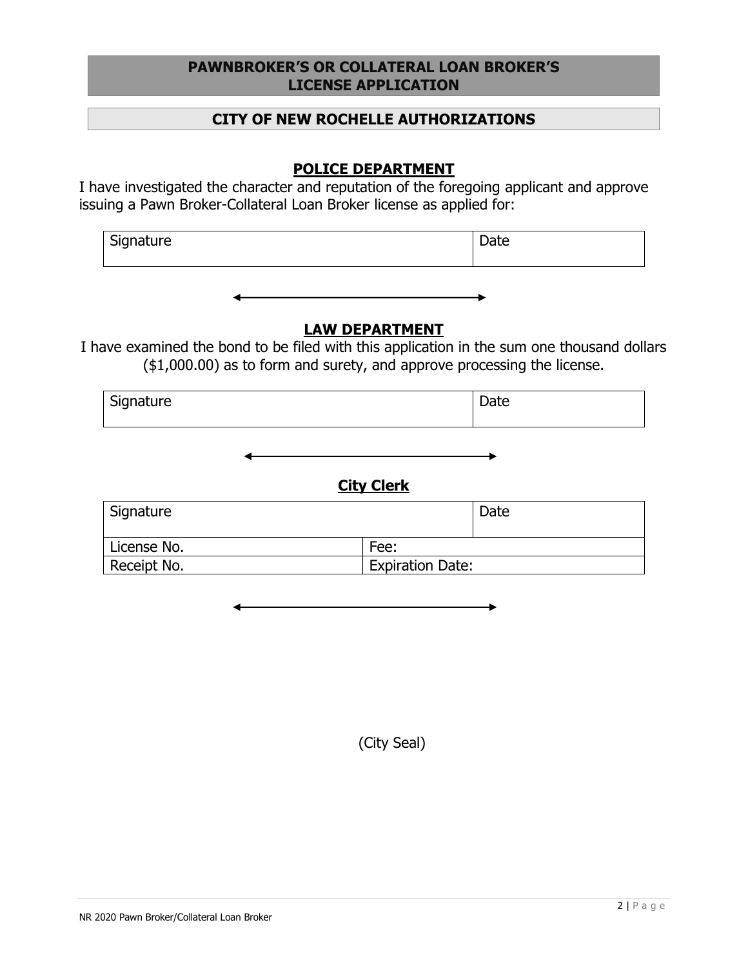#### **PAWNBROKER'S OR COLLATERAL LOAN BROKER'S LICENSE APPLICATION**

#### **CITY OF NEW ROCHELLE AUTHORIZATIONS**

## **POLICE DEPARTMENT**

I have investigated the character and reputation of the foregoing applicant and approve issuing a Pawn Broker-Collateral Loan Broker license as applied for:

| Signature | Date |
|-----------|------|
|           |      |

### **LAW DEPARTMENT**

I have examined the bond to be filed with this application in the sum one thousand dollars (\$1,000.00) as to form and surety, and approve processing the license.

| Signature | Date |
|-----------|------|
|           |      |
|           |      |

## **City Clerk**

| Signature   |                         | Date |
|-------------|-------------------------|------|
| License No. | Fee:                    |      |
| Receipt No. | <b>Expiration Date:</b> |      |

(City Seal)